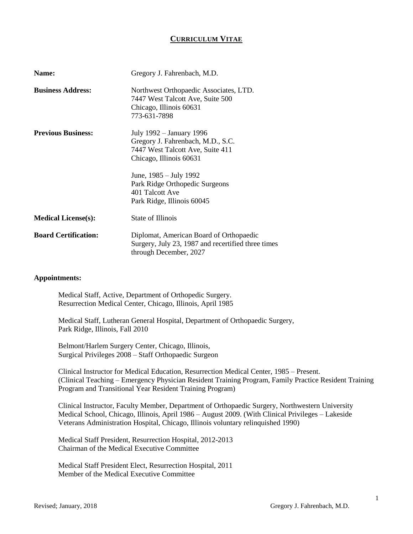# **CURRICULUM VITAE**

| Name:                       | Gregory J. Fahrenbach, M.D.                                                                                                  |
|-----------------------------|------------------------------------------------------------------------------------------------------------------------------|
| <b>Business Address:</b>    | Northwest Orthopaedic Associates, LTD.<br>7447 West Talcott Ave, Suite 500<br>Chicago, Illinois 60631<br>773-631-7898        |
| <b>Previous Business:</b>   | July 1992 – January 1996<br>Gregory J. Fahrenbach, M.D., S.C.<br>7447 West Talcott Ave, Suite 411<br>Chicago, Illinois 60631 |
|                             | June, 1985 – July 1992<br>Park Ridge Orthopedic Surgeons<br>401 Talcott Ave<br>Park Ridge, Illinois 60045                    |
| <b>Medical License(s):</b>  | State of Illinois                                                                                                            |
| <b>Board Certification:</b> | Diplomat, American Board of Orthopaedic<br>Surgery, July 23, 1987 and recertified three times<br>through December, 2027      |

# **Appointments:**

Medical Staff, Active, Department of Orthopedic Surgery. Resurrection Medical Center, Chicago, Illinois, April 1985

Medical Staff, Lutheran General Hospital, Department of Orthopaedic Surgery, Park Ridge, Illinois, Fall 2010

Belmont/Harlem Surgery Center, Chicago, Illinois, Surgical Privileges 2008 – Staff Orthopaedic Surgeon

Clinical Instructor for Medical Education, Resurrection Medical Center, 1985 – Present. (Clinical Teaching – Emergency Physician Resident Training Program, Family Practice Resident Training Program and Transitional Year Resident Training Program)

Clinical Instructor, Faculty Member, Department of Orthopaedic Surgery, Northwestern University Medical School, Chicago, Illinois, April 1986 – August 2009. (With Clinical Privileges – Lakeside Veterans Administration Hospital, Chicago, Illinois voluntary relinquished 1990)

Medical Staff President, Resurrection Hospital, 2012-2013 Chairman of the Medical Executive Committee

Medical Staff President Elect, Resurrection Hospital, 2011 Member of the Medical Executive Committee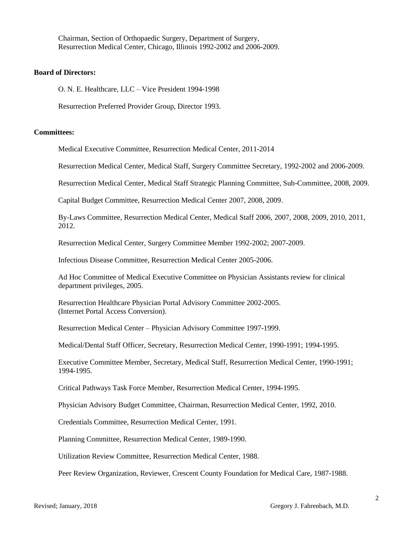Chairman, Section of Orthopaedic Surgery, Department of Surgery, Resurrection Medical Center, Chicago, Illinois 1992-2002 and 2006-2009.

# **Board of Directors:**

O. N. E. Healthcare, LLC – Vice President 1994-1998

Resurrection Preferred Provider Group, Director 1993.

# **Committees:**

Medical Executive Committee, Resurrection Medical Center, 2011-2014

Resurrection Medical Center, Medical Staff, Surgery Committee Secretary, 1992-2002 and 2006-2009.

Resurrection Medical Center, Medical Staff Strategic Planning Committee, Sub-Committee, 2008, 2009.

Capital Budget Committee, Resurrection Medical Center 2007, 2008, 2009.

By-Laws Committee, Resurrection Medical Center, Medical Staff 2006, 2007, 2008, 2009, 2010, 2011, 2012.

Resurrection Medical Center, Surgery Committee Member 1992-2002; 2007-2009.

Infectious Disease Committee, Resurrection Medical Center 2005-2006.

Ad Hoc Committee of Medical Executive Committee on Physician Assistants review for clinical department privileges, 2005.

Resurrection Healthcare Physician Portal Advisory Committee 2002-2005. (Internet Portal Access Conversion).

Resurrection Medical Center – Physician Advisory Committee 1997-1999.

Medical/Dental Staff Officer, Secretary, Resurrection Medical Center, 1990-1991; 1994-1995.

Executive Committee Member, Secretary, Medical Staff, Resurrection Medical Center, 1990-1991; 1994-1995.

Critical Pathways Task Force Member, Resurrection Medical Center, 1994-1995.

Physician Advisory Budget Committee, Chairman, Resurrection Medical Center, 1992, 2010.

Credentials Committee, Resurrection Medical Center, 1991.

Planning Committee, Resurrection Medical Center, 1989-1990.

Utilization Review Committee, Resurrection Medical Center, 1988.

Peer Review Organization, Reviewer, Crescent County Foundation for Medical Care, 1987-1988.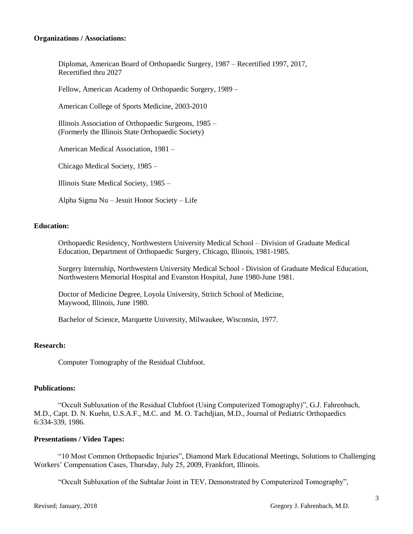# **Organizations / Associations:**

Diplomat, American Board of Orthopaedic Surgery, 1987 – Recertified 1997, 2017, Recertified thru 2027

Fellow, American Academy of Orthopaedic Surgery, 1989 –

American College of Sports Medicine, 2003-2010

Illinois Association of Orthopaedic Surgeons, 1985 – (Formerly the Illinois State Orthopaedic Society)

American Medical Association, 1981 –

Chicago Medical Society, 1985 –

Illinois State Medical Society, 1985 –

Alpha Sigma Nu – Jesuit Honor Society – Life

# **Education:**

Orthopaedic Residency, Northwestern University Medical School – Division of Graduate Medical Education, Department of Orthopaedic Surgery, Chicago, Illinois, 1981-1985.

Surgery Internship, Northwestern University Medical School - Division of Graduate Medical Education, Northwestern Memorial Hospital and Evanston Hospital, June 1980-June 1981.

Doctor of Medicine Degree, Loyola University, Stritch School of Medicine, Maywood, Illinois, June 1980.

Bachelor of Science, Marquette University, Milwaukee, Wisconsin, 1977.

# **Research:**

Computer Tomography of the Residual Clubfoot.

#### **Publications:**

"Occult Subluxation of the Residual Clubfoot (Using Computerized Tomography)", G.J. Fahrenbach, M.D., Capt. D. N. Kuehn, U.S.A.F., M.C. and M. O. Tachdjian, M.D., Journal of Pediatric Orthopaedics 6:334-339, 1986.

#### **Presentations / Video Tapes:**

"10 Most Common Orthopaedic Injuries", Diamond Mark Educational Meetings, Solutions to Challenging Workers' Compensation Cases, Thursday, July 25, 2009, Frankfort, Illinois.

"Occult Subluxation of the Subtalar Joint in TEV, Demonstrated by Computerized Tomography",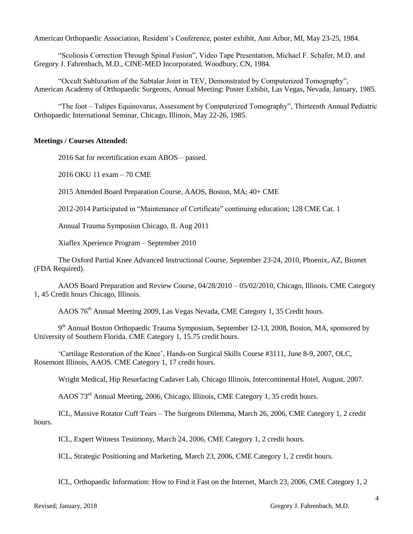American Orthopaedic Association, Resident's Conference, poster exhibit, Ann Arbor, MI, May 23-25, 1984.

"Scoliosis Correction Through Spinal Fusion", Video Tape Presentation, Michael F. Schafer, M.D. and Gregory J. Fahrenbach, M.D., CINE-MED Incorporated, Woodbury, CN, 1984.

"Occult Subluxation of the Subtalar Joint in TEV, Demonstrated by Computerized Tomography", American Academy of Orthopaedic Surgeons, Annual Meeting: Poster Exhibit, Las Vegas, Nevada, January, 1985.

"The foot – Talipes Equinovarus, Assessment by Computerized Tomography", Thirteenth Annual Pediatric Orthopaedic International Seminar, Chicago, Illinois, May 22-26, 1985.

# **Meetings / Courses Attended:**

2016 Sat for recertification exam ABOS – passed.

2016 OKU 11 exam – 70 CME

2015 Attended Board Preparation Course, AAOS, Boston, MA; 40+ CME

2012-2014 Participated in "Maintenance of Certificate" continuing education; 128 CME Cat. 1

Annual Trauma Symposiun Chicago, IL Aug 2011

Xiaflex Xperience Program – September 2010

The Oxford Partial Knee Advanced Instructional Course, September 23-24, 2010, Phoenix, AZ, Biomet (FDA Required).

AAOS Board Preparation and Review Course, 04/28/2010 – 05/02/2010, Chicago, Illinois. CME Category 1, 45 Credit hours Chicago, Illinois.

AAOS 76th Annual Meeting 2009, Las Vegas Nevada, CME Category 1, 35 Credit hours.

9<sup>th</sup> Annual Boston Orthopaedic Trauma Symposium, September 12-13, 2008, Boston, MA, sponsored by University of Southern Florida. CME Category 1, 15.75 credit hours.

'Cartilage Restoration of the Knee', Hands-on Surgical Skills Course #3111, June 8-9, 2007, OLC, Rosemont Illinois, AAOS. CME Category 1, 17 credit hours.

Wright Medical, Hip Resurfacing Cadaver Lab, Chicago Illinois, Intercontinental Hotel, August, 2007.

AAOS 73rd Annual Meeting, 2006, Chicago, Illinois, CME Category 1, 35 credit hours.

ICL, Massive Rotator Cuff Tears – The Surgeons Dilemma, March 26, 2006, CME Category 1, 2 credit hours.

ICL, Expert Witness Testimony, March 24, 2006, CME Category 1, 2 credit hours.

ICL, Strategic Positioning and Marketing, March 23, 2006, CME Category 1, 2 credit hours.

ICL, Orthopaedic Information: How to Find it Fast on the Internet, March 23, 2006, CME Category 1, 2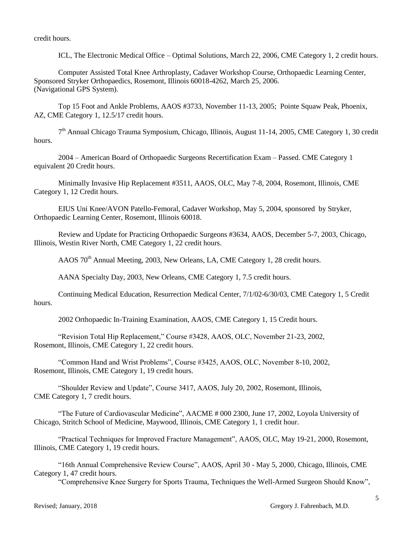credit hours.

ICL, The Electronic Medical Office – Optimal Solutions, March 22, 2006, CME Category 1, 2 credit hours.

Computer Assisted Total Knee Arthroplasty, Cadaver Workshop Course, Orthopaedic Learning Center, Sponsored Stryker Orthopaedics, Rosemont, Illinois 60018-4262, March 25, 2006. (Navigational GPS System).

Top 15 Foot and Ankle Problems, AAOS #3733, November 11-13, 2005; Pointe Squaw Peak, Phoenix, AZ, CME Category 1, 12.5/17 credit hours.

7<sup>th</sup> Annual Chicago Trauma Symposium, Chicago, Illinois, August 11-14, 2005, CME Category 1, 30 credit hours.

2004 – American Board of Orthopaedic Surgeons Recertification Exam – Passed. CME Category 1 equivalent 20 Credit hours.

Minimally Invasive Hip Replacement #3511, AAOS, OLC, May 7-8, 2004, Rosemont, Illinois, CME Category 1, 12 Credit hours.

EIUS Uni Knee/AVON Patello-Femoral, Cadaver Workshop, May 5, 2004, sponsored by Stryker, Orthopaedic Learning Center, Rosemont, Illinois 60018.

Review and Update for Practicing Orthopaedic Surgeons #3634, AAOS, December 5-7, 2003, Chicago, Illinois, Westin River North, CME Category 1, 22 credit hours.

AAOS 70<sup>th</sup> Annual Meeting, 2003, New Orleans, LA, CME Category 1, 28 credit hours.

AANA Specialty Day, 2003, New Orleans, CME Category 1, 7.5 credit hours.

Continuing Medical Education, Resurrection Medical Center, 7/1/02-6/30/03, CME Category 1, 5 Credit hours.

2002 Orthopaedic In-Training Examination, AAOS, CME Category 1, 15 Credit hours.

"Revision Total Hip Replacement," Course #3428, AAOS, OLC, November 21-23, 2002, Rosemont, Illinois, CME Category 1, 22 credit hours.

"Common Hand and Wrist Problems", Course #3425, AAOS, OLC, November 8-10, 2002, Rosemont, Illinois, CME Category 1, 19 credit hours.

"Shoulder Review and Update", Course 3417, AAOS, July 20, 2002, Rosemont, Illinois, CME Category 1, 7 credit hours.

"The Future of Cardiovascular Medicine", AACME # 000 2300, June 17, 2002, Loyola University of Chicago, Stritch School of Medicine, Maywood, Illinois, CME Category 1, 1 credit hour.

"Practical Techniques for Improved Fracture Management", AAOS, OLC, May 19-21, 2000, Rosemont, Illinois, CME Category 1, 19 credit hours.

"16th Annual Comprehensive Review Course", AAOS, April 30 - May 5, 2000, Chicago, Illinois, CME Category 1, 47 credit hours.

"Comprehensive Knee Surgery for Sports Trauma, Techniques the Well-Armed Surgeon Should Know",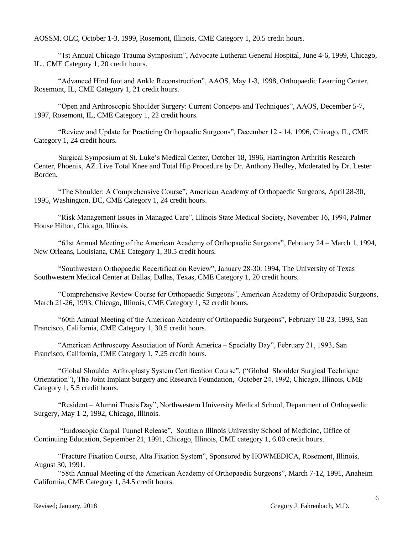AOSSM, OLC, October 1-3, 1999, Rosemont, Illinois, CME Category 1, 20.5 credit hours.

"1st Annual Chicago Trauma Symposium", Advocate Lutheran General Hospital, June 4-6, 1999, Chicago, IL., CME Category 1, 20 credit hours.

"Advanced Hind foot and Ankle Reconstruction", AAOS, May 1-3, 1998, Orthopaedic Learning Center, Rosemont, IL, CME Category 1, 21 credit hours.

"Open and Arthroscopic Shoulder Surgery: Current Concepts and Techniques", AAOS, December 5-7, 1997, Rosemont, IL, CME Category 1, 22 credit hours.

"Review and Update for Practicing Orthopaedic Surgeons", December 12 - 14, 1996, Chicago, IL, CME Category 1, 24 credit hours.

Surgical Symposium at St. Luke's Medical Center, October 18, 1996, Harrington Arthritis Research Center, Phoenix, AZ. Live Total Knee and Total Hip Procedure by Dr. Anthony Hedley, Moderated by Dr. Lester Borden.

"The Shoulder: A Comprehensive Course", American Academy of Orthopaedic Surgeons, April 28-30, 1995, Washington, DC, CME Category 1, 24 credit hours.

"Risk Management Issues in Managed Care", Illinois State Medical Society, November 16, 1994, Palmer House Hilton, Chicago, Illinois.

"61st Annual Meeting of the American Academy of Orthopaedic Surgeons", February 24 – March 1, 1994, New Orleans, Louisiana, CME Category 1, 30.5 credit hours.

"Southwestern Orthopaedic Recertification Review", January 28-30, 1994, The University of Texas Southwestern Medical Center at Dallas, Dallas, Texas, CME Category 1, 20 credit hours.

"Comprehensive Review Course for Orthopaedic Surgeons", American Academy of Orthopaedic Surgeons, March 21-26, 1993, Chicago, Illinois, CME Category 1, 52 credit hours.

"60th Annual Meeting of the American Academy of Orthopaedic Surgeons", February 18-23, 1993, San Francisco, California, CME Category 1, 30.5 credit hours.

"American Arthroscopy Association of North America – Specialty Day", February 21, 1993, San Francisco, California, CME Category 1, 7.25 credit hours.

"Global Shoulder Arthroplasty System Certification Course", ("Global Shoulder Surgical Technique Orientation"), The Joint Implant Surgery and Research Foundation, October 24, 1992, Chicago, Illinois, CME Category 1, 5.5 credit hours.

"Resident – Alumni Thesis Day", Northwestern University Medical School, Department of Orthopaedic Surgery, May 1-2, 1992, Chicago, Illinois.

"Endoscopic Carpal Tunnel Release", Southern Illinois University School of Medicine, Office of Continuing Education, September 21, 1991, Chicago, Illinois, CME category 1, 6.00 credit hours.

"Fracture Fixation Course, Alta Fixation System", Sponsored by HOWMEDICA, Rosemont, Illinois, August 30, 1991.

"58th Annual Meeting of the American Academy of Orthopaedic Surgeons", March 7-12, 1991, Anaheim California, CME Category 1, 34.5 credit hours.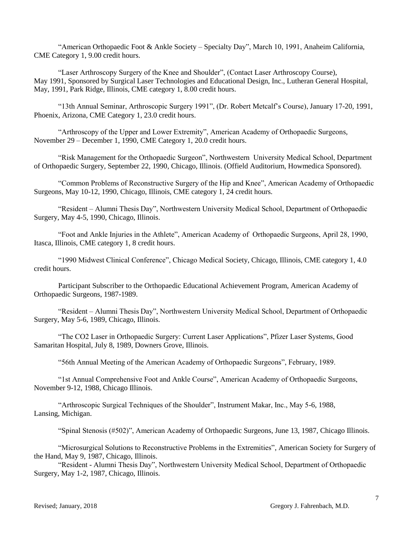"American Orthopaedic Foot & Ankle Society – Specialty Day", March 10, 1991, Anaheim California, CME Category 1, 9.00 credit hours.

"Laser Arthroscopy Surgery of the Knee and Shoulder", (Contact Laser Arthroscopy Course), May 1991, Sponsored by Surgical Laser Technologies and Educational Design, Inc., Lutheran General Hospital, May, 1991, Park Ridge, Illinois, CME category 1, 8.00 credit hours.

"13th Annual Seminar, Arthroscopic Surgery 1991", (Dr. Robert Metcalf's Course), January 17-20, 1991, Phoenix, Arizona, CME Category 1, 23.0 credit hours.

"Arthroscopy of the Upper and Lower Extremity", American Academy of Orthopaedic Surgeons, November 29 – December 1, 1990, CME Category 1, 20.0 credit hours.

"Risk Management for the Orthopaedic Surgeon", Northwestern University Medical School, Department of Orthopaedic Surgery, September 22, 1990, Chicago, Illinois. (Offield Auditorium, Howmedica Sponsored).

"Common Problems of Reconstructive Surgery of the Hip and Knee", American Academy of Orthopaedic Surgeons, May 10-12, 1990, Chicago, Illinois, CME category 1, 24 credit hours.

"Resident – Alumni Thesis Day", Northwestern University Medical School, Department of Orthopaedic Surgery, May 4-5, 1990, Chicago, Illinois.

"Foot and Ankle Injuries in the Athlete", American Academy of Orthopaedic Surgeons, April 28, 1990, Itasca, Illinois, CME category 1, 8 credit hours.

"1990 Midwest Clinical Conference", Chicago Medical Society, Chicago, Illinois, CME category 1, 4.0 credit hours.

Participant Subscriber to the Orthopaedic Educational Achievement Program, American Academy of Orthopaedic Surgeons, 1987-1989.

"Resident – Alumni Thesis Day", Northwestern University Medical School, Department of Orthopaedic Surgery, May 5-6, 1989, Chicago, Illinois.

"The CO2 Laser in Orthopaedic Surgery: Current Laser Applications", Pfizer Laser Systems, Good Samaritan Hospital, July 8, 1989, Downers Grove, Illinois.

"56th Annual Meeting of the American Academy of Orthopaedic Surgeons", February, 1989.

"1st Annual Comprehensive Foot and Ankle Course", American Academy of Orthopaedic Surgeons, November 9-12, 1988, Chicago Illinois.

"Arthroscopic Surgical Techniques of the Shoulder", Instrument Makar, Inc., May 5-6, 1988, Lansing, Michigan.

"Spinal Stenosis (#502)", American Academy of Orthopaedic Surgeons, June 13, 1987, Chicago Illinois.

"Microsurgical Solutions to Reconstructive Problems in the Extremities", American Society for Surgery of the Hand, May 9, 1987, Chicago, Illinois.

"Resident - Alumni Thesis Day", Northwestern University Medical School, Department of Orthopaedic Surgery, May 1-2, 1987, Chicago, Illinois.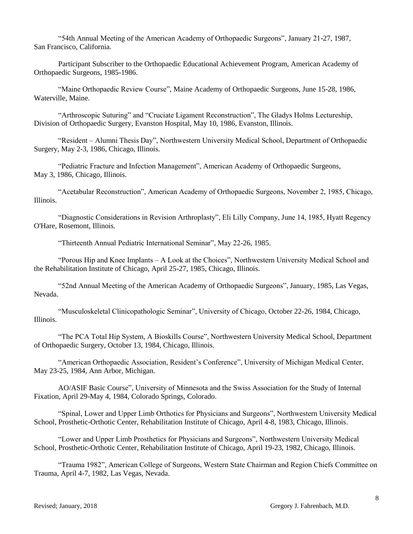"54th Annual Meeting of the American Academy of Orthopaedic Surgeons", January 21-27, 1987, San Francisco, California.

Participant Subscriber to the Orthopaedic Educational Achievement Program, American Academy of Orthopaedic Surgeons, 1985-1986.

"Maine Orthopaedic Review Course", Maine Academy of Orthopaedic Surgeons, June 15-28, 1986, Waterville, Maine.

"Arthroscopic Suturing" and "Cruciate Ligament Reconstruction", The Gladys Holms Lectureship, Division of Orthopaedic Surgery, Evanston Hospital, May 10, 1986, Evanston, Illinois.

"Resident – Alumni Thesis Day", Northwestern University Medical School, Department of Orthopaedic Surgery, May 2-3, 1986, Chicago, Illinois.

"Pediatric Fracture and Infection Management", American Academy of Orthopaedic Surgeons, May 3, 1986, Chicago, Illinois.

"Acetabular Reconstruction", American Academy of Orthopaedic Surgeons, November 2, 1985, Chicago, Illinois.

"Diagnostic Considerations in Revision Arthroplasty", Eli Lilly Company, June 14, 1985, Hyatt Regency O'Hare, Rosemont, Illinois.

"Thirteenth Annual Pediatric International Seminar", May 22-26, 1985.

"Porous Hip and Knee Implants – A Look at the Choices", Northwestern University Medical School and the Rehabilitation Institute of Chicago, April 25-27, 1985, Chicago, Illinois.

"52nd Annual Meeting of the American Academy of Orthopaedic Surgeons", January, 1985, Las Vegas, Nevada.

"Musculoskeletal Clinicopathologic Seminar", University of Chicago, October 22-26, 1984, Chicago, Illinois.

"The PCA Total Hip System, A Bioskills Course", Northwestern University Medical School, Department of Orthopaedic Surgery, October 13, 1984, Chicago, Illinois.

"American Orthopaedic Association, Resident's Conference", University of Michigan Medical Center, May 23-25, 1984, Ann Arbor, Michigan.

AO/ASIF Basic Course", University of Minnesota and the Swiss Association for the Study of Internal Fixation, April 29-May 4, 1984, Colorado Springs, Colorado.

"Spinal, Lower and Upper Limb Orthotics for Physicians and Surgeons", Northwestern University Medical School, Prosthetic-Orthotic Center, Rehabilitation Institute of Chicago, April 4-8, 1983, Chicago, Illinois.

"Lower and Upper Limb Prosthetics for Physicians and Surgeons", Northwestern University Medical School, Prosthetic-Orthotic Center, Rehabilitation Institute of Chicago, April 19-23, 1982, Chicago, Illinois.

"Trauma 1982", American College of Surgeons, Western State Chairman and Region Chiefs Committee on Trauma, April 4-7, 1982, Las Vegas, Nevada.